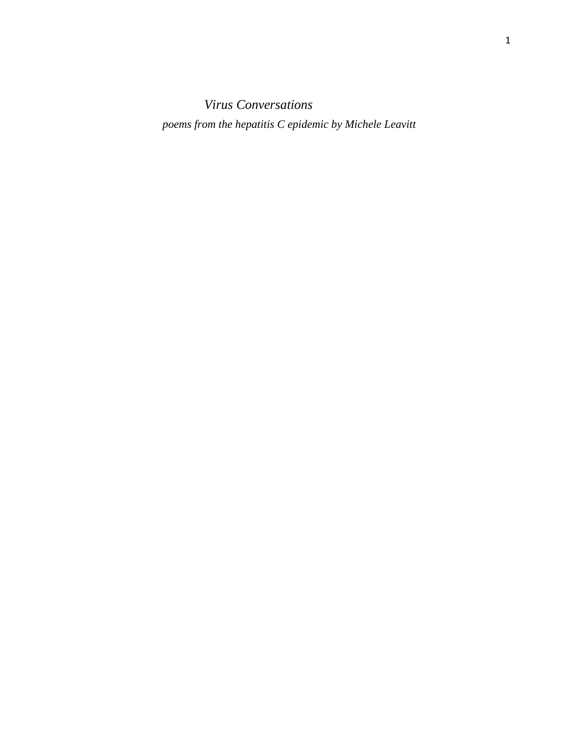*Virus Conversations*

*poems from the hepatitis C epidemic by Michele Leavitt*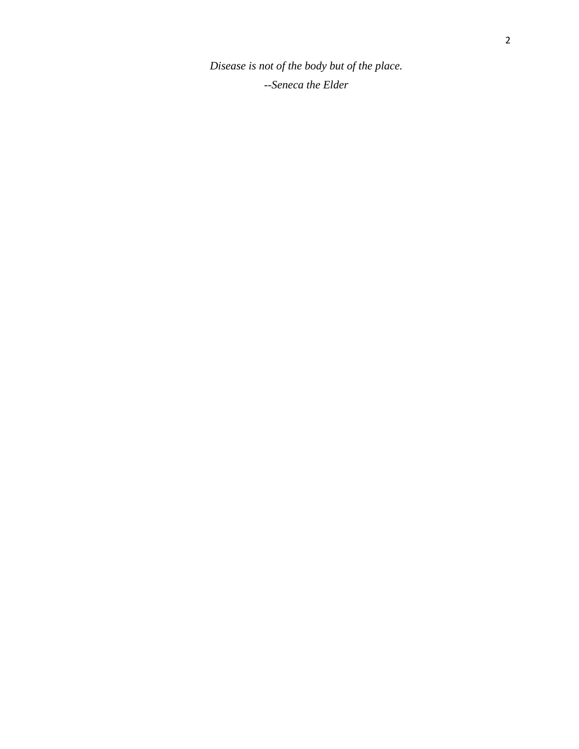*Disease is not of the body but of the place. --Seneca the Elder*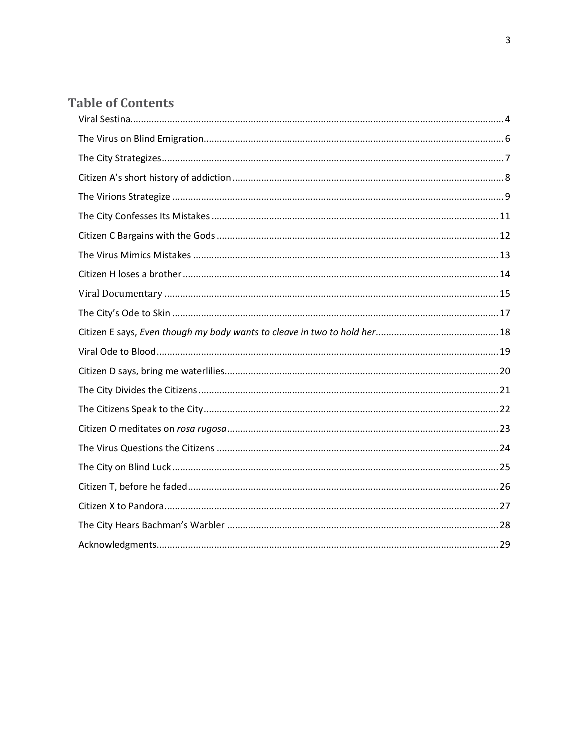# **Table of Contents**

<span id="page-2-0"></span>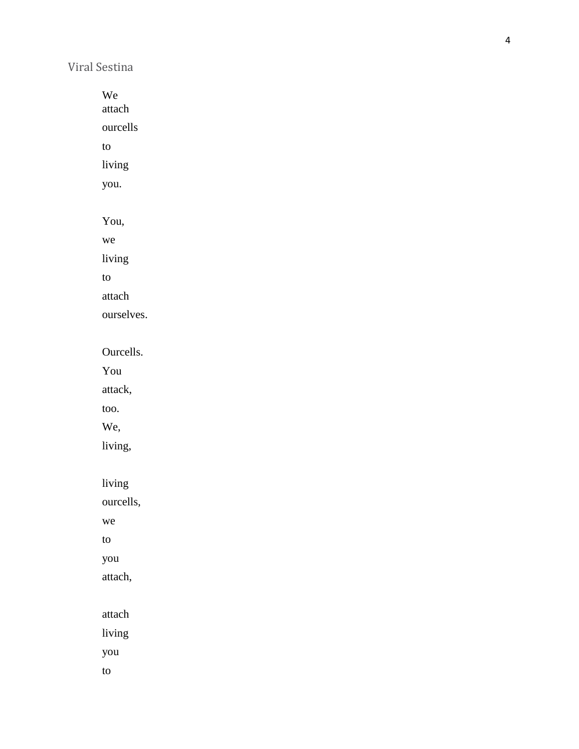## Viral Sestina

We

attach

ourcells

to

living

you.

You,

we

living

to

attach

ourselves.

Ourcells.

You

attack,

too.

We,

living,

living

ourcells,

we

to

you

attach,

attach

living

you

to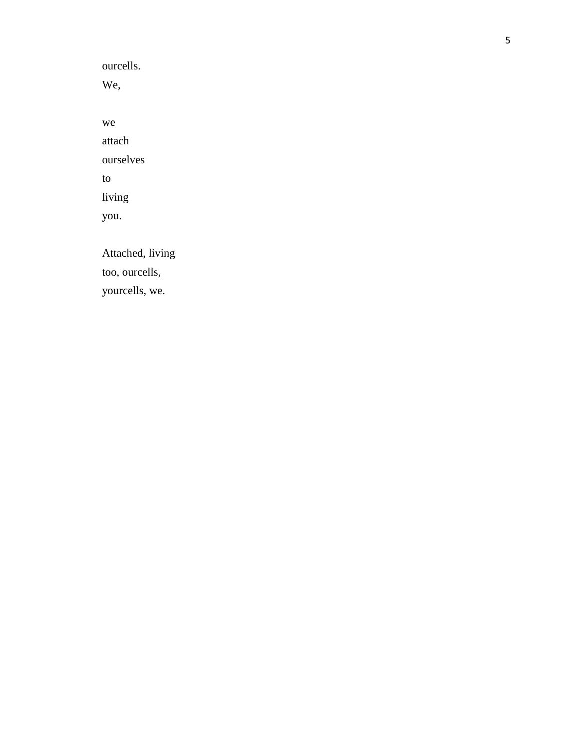ourcells. We,

we

attach

ourselves

to

living you.

Attached , living

too, ourcells,

yourcells, we.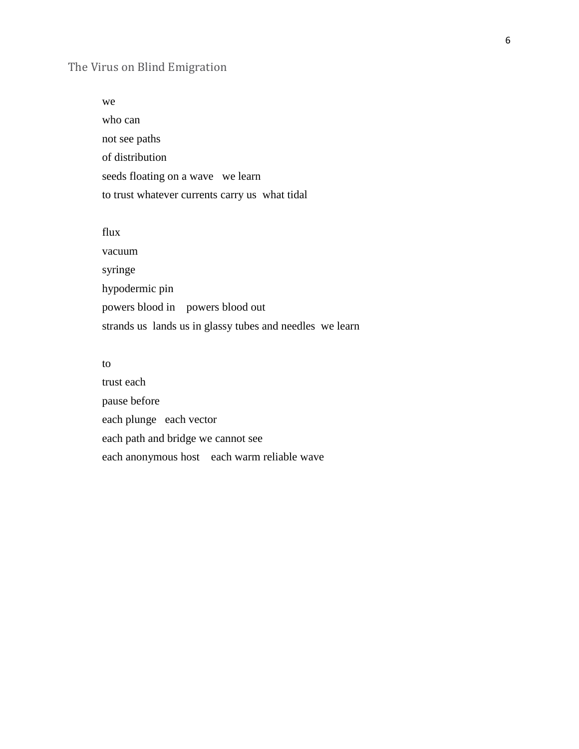### <span id="page-5-0"></span>The Virus on Blind Emigration

we who can not see paths of distribution seeds floating on a wave we learn to trust whatever currents carry us what tidal

flux

vacuum syringe hypodermic pin powers blood in powers blood out strands us lands us in glassy tubes and needles we learn

to

trust each pause before each plunge each vector each path and bridge we cannot see each anonymous host each warm reliable wave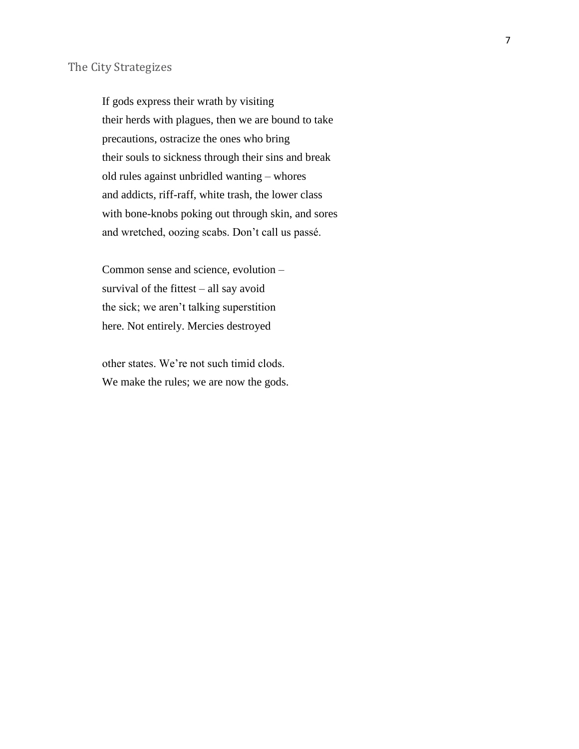<span id="page-6-0"></span>If gods express their wrath by visiting their herds with plagues, then we are bound to take precautions, ostracize the ones who bring their souls to sickness through their sins and break old rules against unbridled wanting – whores and addicts, riff-raff, white trash, the lower class with bone-knobs poking out through skin, and sores and wretched, oozing scabs. Don't call us passé.

Common sense and science, evolution – survival of the fittest – all say avoid the sick; we aren't talking superstition here. Not entirely. Mercies destroyed

other states. We're not such timid clods. We make the rules; we are now the gods.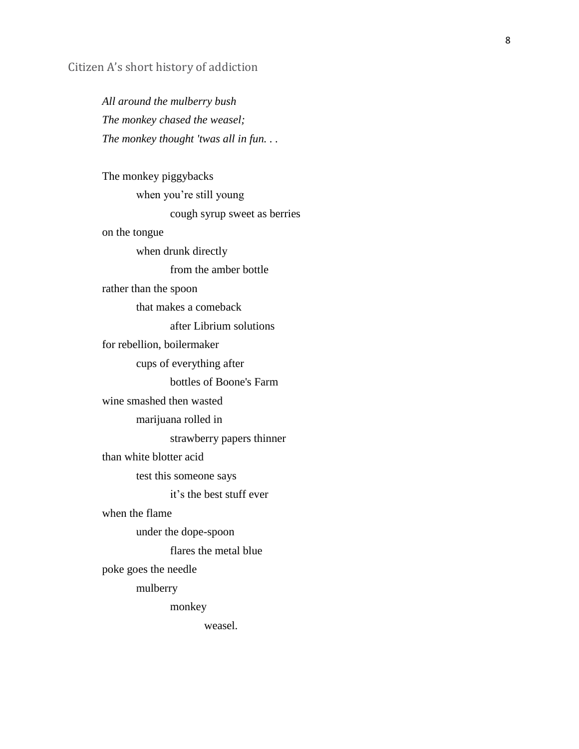<span id="page-7-0"></span>Citizen A's short history of addiction

*All around the mulberry bush The monkey chased the weasel; The monkey thought 'twas all in fun. . .*

The monkey piggybacks when you're still young cough syrup sweet as berries on the tongue when drunk directly from the amber bottle rather than the spoon that makes a comeback after Librium solutions for rebellion, boilermaker cups of everything after bottles of Boone's Farm wine smashed then wasted marijuana rolled in strawberry papers thinner than white blotter acid test this someone says it's the best stuff ever when the flame under the dope-spoon flares the metal blue poke goes the needle mulberry monkey weasel.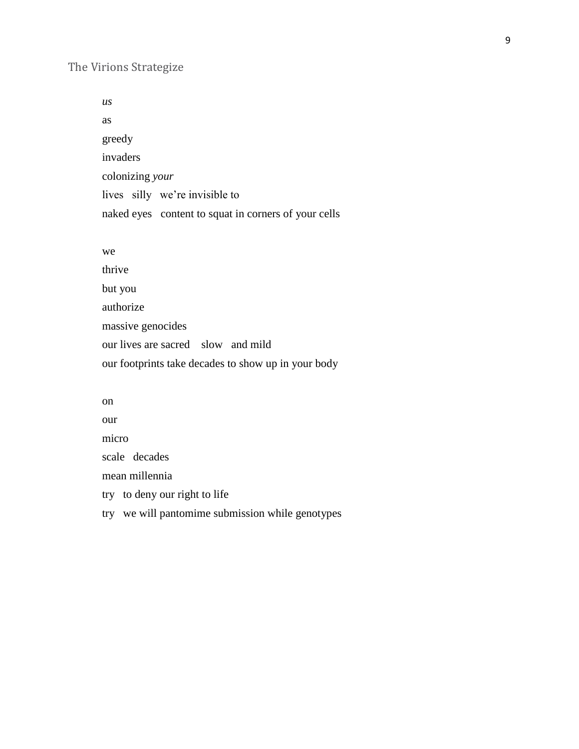<span id="page-8-0"></span>The Virions Strategize

*us*

as greedy invaders colonizing *your* lives silly we're invisible to naked eyes content to squat in corners of your cells

we

thrive but you authorize massive genocides our lives are sacred slow and mild our footprints take decades to show up in your body

on our micro scale decades mean millennia try to deny our right to life

try we will pantomime submission while genotypes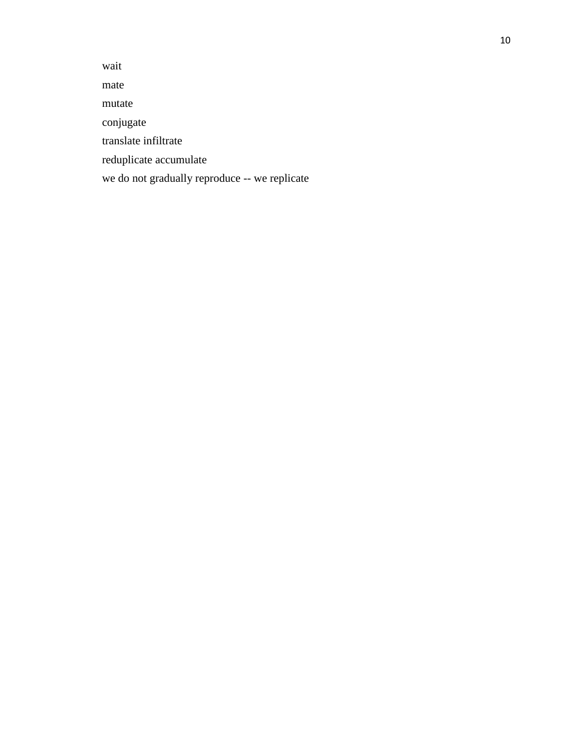wait mate mutate conjugate translate infiltrate reduplicate accumulate we do not gradually reproduce -- we replicate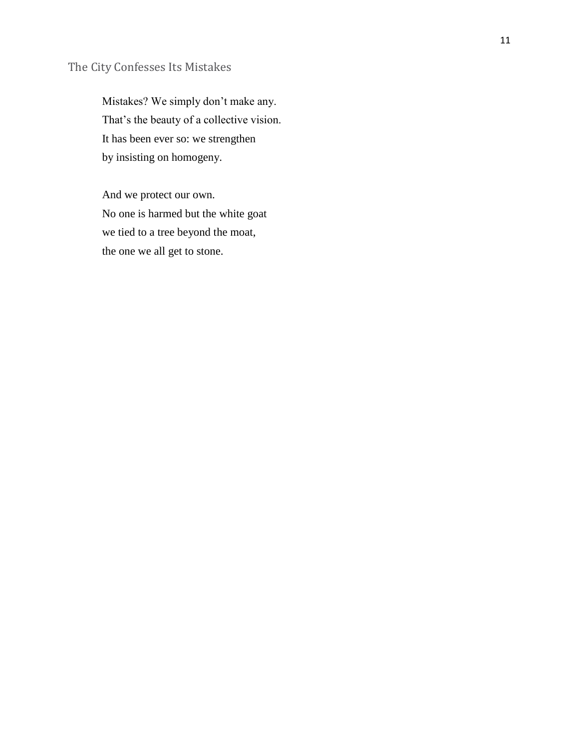## <span id="page-10-0"></span>The City Confesses Its Mistakes

Mistakes? We simply don't make any. That's the beauty of a collective vision. It has been ever so: we strengthen by insisting on homogeny.

And we protect our own. No one is harmed but the white goat we tied to a tree beyond the moat, the one we all get to stone.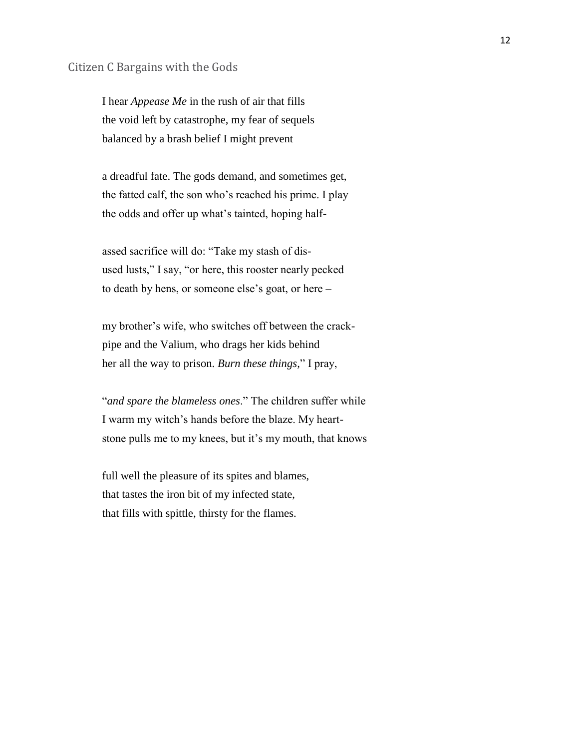<span id="page-11-0"></span>I hear *Appease Me* in the rush of air that fills the void left by catastrophe, my fear of sequels balanced by a brash belief I might prevent

a dreadful fate. The gods demand, and sometimes get, the fatted calf, the son who's reached his prime. I play the odds and offer up what's tainted, hoping half-

assed sacrifice will do: "Take my stash of disused lusts," I say, "or here, this rooster nearly pecked to death by hens, or someone else's goat, or here –

my brother's wife, who switches off between the crackpipe and the Valium, who drags her kids behind her all the way to prison. *Burn these things,*" I pray,

"*and spare the blameless ones*." The children suffer while I warm my witch's hands before the blaze. My heartstone pulls me to my knees, but it's my mouth, that knows

full well the pleasure of its spites and blames, that tastes the iron bit of my infected state, that fills with spittle, thirsty for the flames.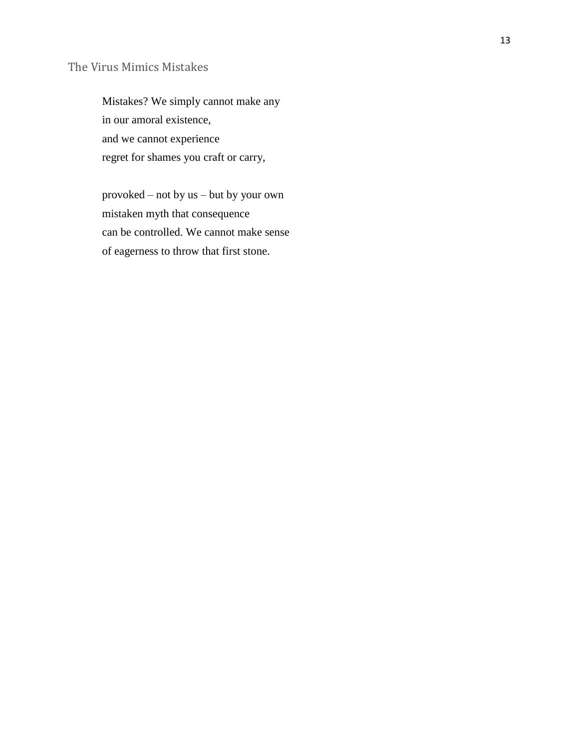### <span id="page-12-0"></span>The Virus Mimics Mistakes

Mistakes? We simply cannot make any in our amoral existence, and we cannot experience regret for shames you craft or carry,

provoked – not by us – but by your own mistaken myth that consequence can be controlled. We cannot make sense of eagerness to throw that first stone.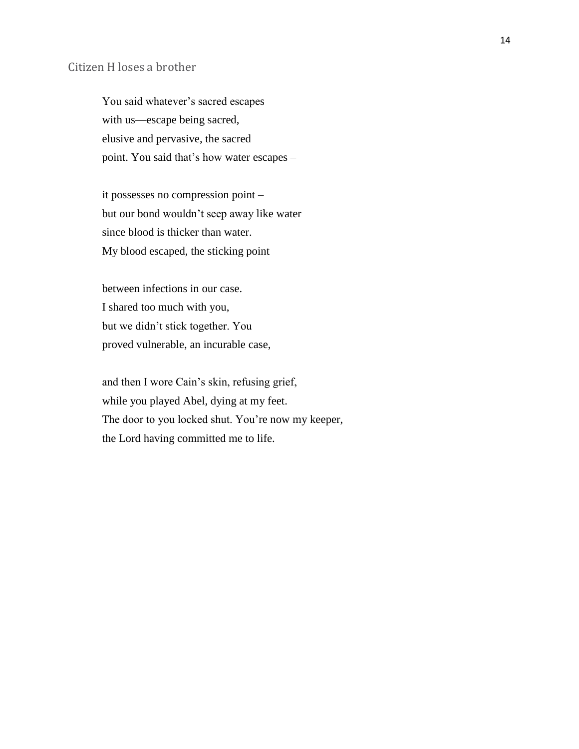#### <span id="page-13-0"></span>Citizen H loses a brother

You said whatever's sacred escapes with us—escape being sacred, elusive and pervasive, the sacred point. You said that's how water escapes –

it possesses no compression point – but our bond wouldn't seep away like water since blood is thicker than water. My blood escaped, the sticking point

between infections in our case. I shared too much with you, but we didn't stick together. You proved vulnerable, an incurable case,

and then I wore Cain's skin, refusing grief, while you played Abel, dying at my feet. The door to you locked shut. You're now my keeper, the Lord having committed me to life.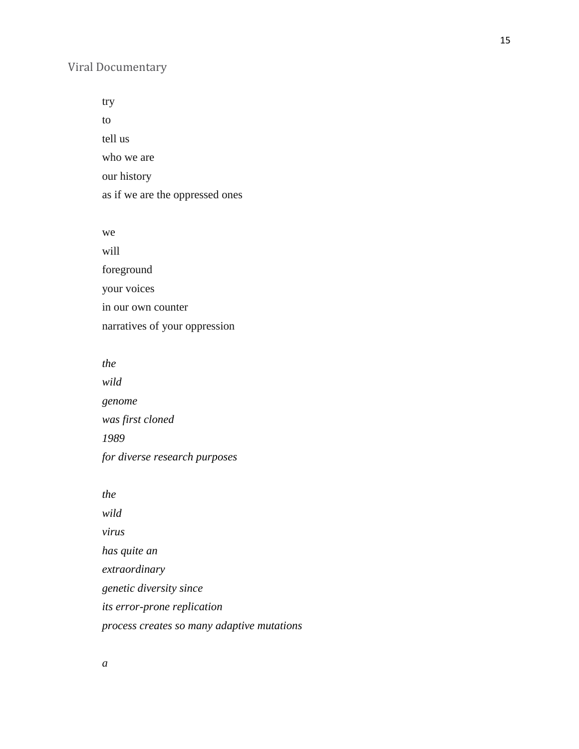#### <span id="page-14-0"></span>Viral Documentary

try

to tell us who we are our history as if we are the oppressed ones

we

will foreground your voices in our own counter

narratives of your oppression

*the wild genome was first cloned 1989 for diverse research purposes* 

*the wild virus has quite an extraordinary genetic diversity since its error-prone replication process creates so many adaptive mutations* 15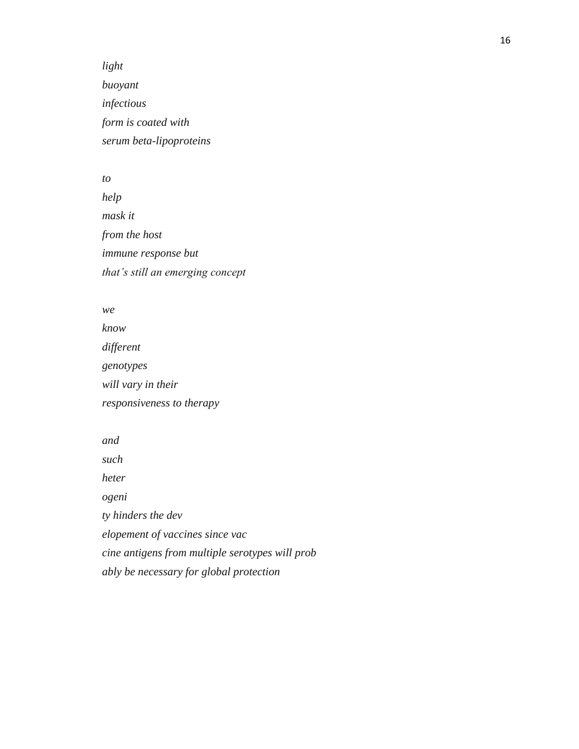*light buoyant infectious form is coated with serum beta-lipoproteins* 

*to help mask it from the host immune response but that's still an emerging concept*

*we* 

*know different genotypes will vary in their responsiveness to therapy*

*and*

*such*

*heter*

*ogeni*

*ty hinders the dev*

*elopement of vaccines since vac*

*cine antigens from multiple serotypes will prob*

*ably be necessary for global protection*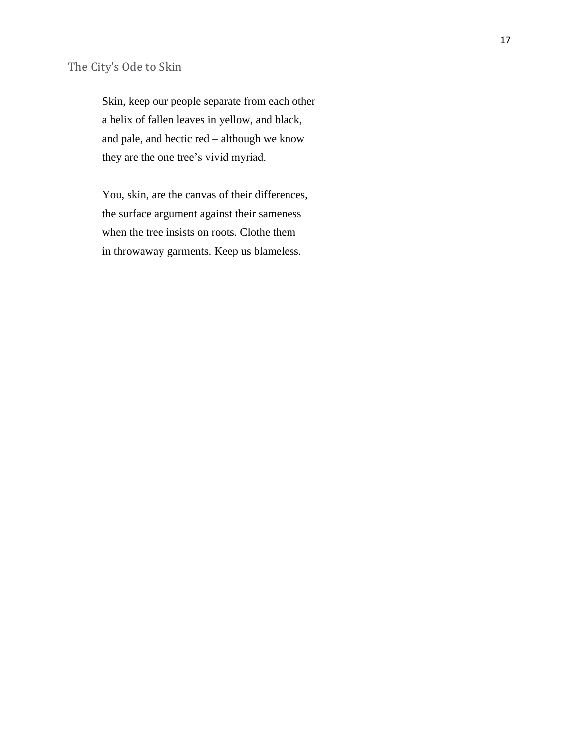## <span id="page-16-0"></span>The City's Ode to Skin

Skin, keep our people separate from each other – a helix of fallen leaves in yellow, and black, and pale, and hectic red – although we know they are the one tree's vivid myriad.

You, skin, are the canvas of their differences, the surface argument against their sameness when the tree insists on roots. Clothe them in throwaway garments. Keep us blameless.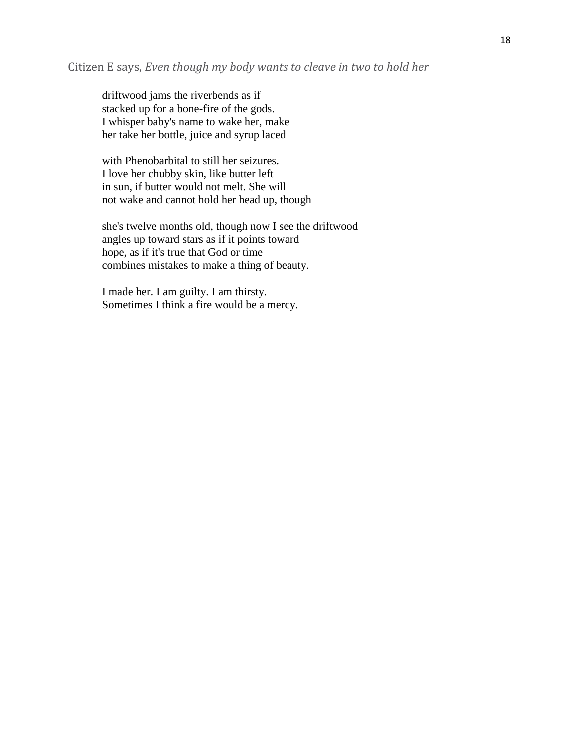<span id="page-17-0"></span>driftwood jams the riverbends as if stacked up for a bone-fire of the gods. I whisper baby's name to wake her, make her take her bottle, juice and syrup laced

with Phenobarbital to still her seizures. I love her chubby skin, like butter left in sun, if butter would not melt. She will not wake and cannot hold her head up, though

she's twelve months old, though now I see the driftwood angles up toward stars as if it points toward hope, as if it's true that God or time combines mistakes to make a thing of beauty.

I made her. I am guilty. I am thirsty. Sometimes I think a fire would be a mercy.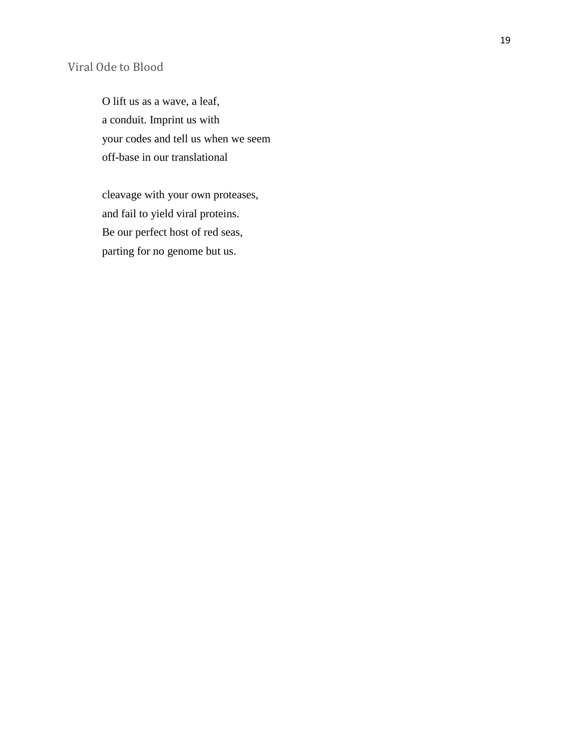## <span id="page-18-0"></span>Viral Ode to Blood

O lift us as a wave, a leaf, a conduit. Imprint us with your codes and tell us when we seem off-base in our translational

cleavage with your own proteases, and fail to yield viral proteins. Be our perfect host of red seas, parting for no genome but us.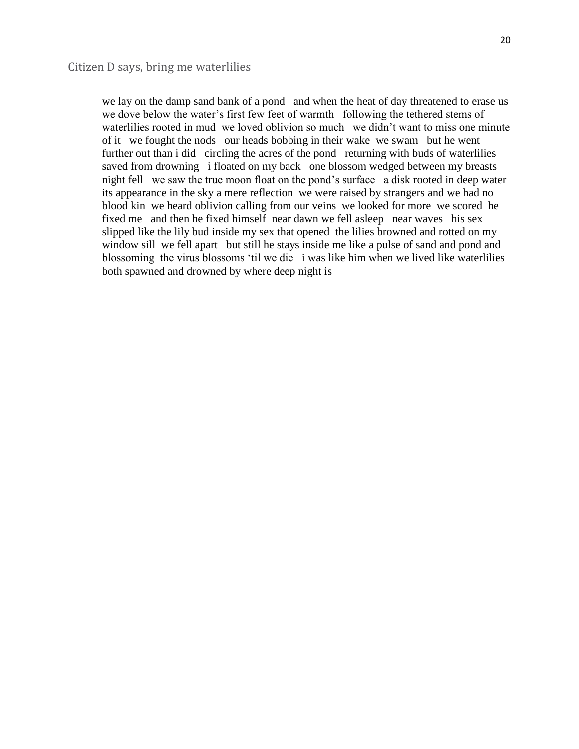<span id="page-19-0"></span>we lay on the damp sand bank of a pond and when the heat of day threatened to erase us we dove below the water's first few feet of warmth following the tethered stems of waterlilies rooted in mud we loved oblivion so much we didn't want to miss one minute of it we fought the nods our heads bobbing in their wake we swam but he went further out than i did circling the acres of the pond returning with buds of waterlilies saved from drowning i floated on my back one blossom wedged between my breasts night fell we saw the true moon float on the pond's surface a disk rooted in deep water its appearance in the sky a mere reflection we were raised by strangers and we had no blood kin we heard oblivion calling from our veins we looked for more we scored he fixed me and then he fixed himself near dawn we fell asleep near waves his sex slipped like the lily bud inside my sex that opened the lilies browned and rotted on my window sill we fell apart but still he stays inside me like a pulse of sand and pond and blossoming the virus blossoms 'til we die i was like him when we lived like waterlilies both spawned and drowned by where deep night is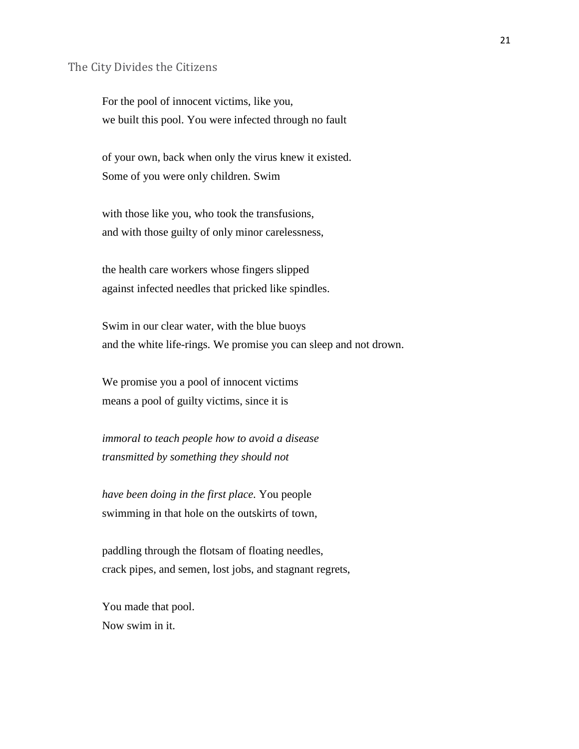#### <span id="page-20-0"></span>The City Divides the Citizens

For the pool of innocent victims, like you, we built this pool. You were infected through no fault

of your own, back when only the virus knew it existed. Some of you were only children. Swim

with those like you, who took the transfusions, and with those guilty of only minor carelessness,

the health care workers whose fingers slipped against infected needles that pricked like spindles.

Swim in our clear water, with the blue buoys and the white life-rings. We promise you can sleep and not drown.

We promise you a pool of innocent victims means a pool of guilty victims, since it is

*immoral to teach people how to avoid a disease transmitted by something they should not* 

*have been doing in the first place.* You people swimming in that hole on the outskirts of town,

paddling through the flotsam of floating needles, crack pipes, and semen, lost jobs, and stagnant regrets,

You made that pool. Now swim in it.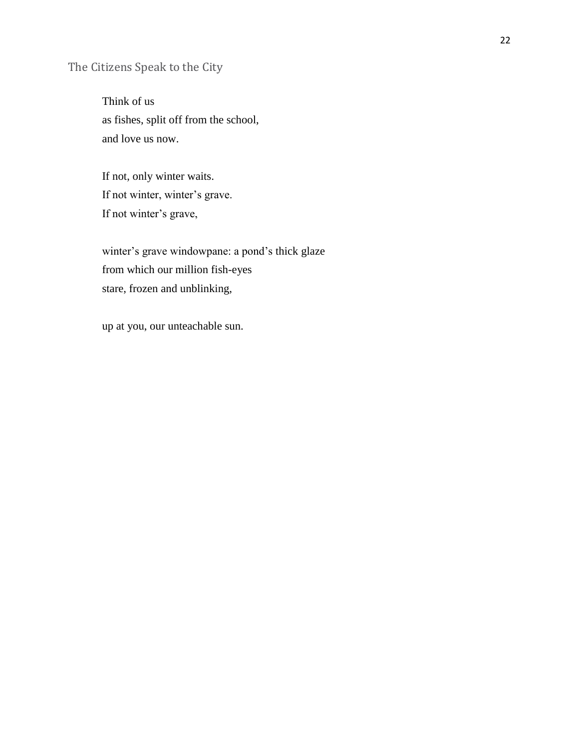## <span id="page-21-0"></span>The Citizens Speak to the City

Think of us as fishes, split off from the school, and love us now.

If not, only winter waits. If not winter, winter's grave. If not winter's grave,

winter's grave windowpane: a pond's thick glaze from which our million fish-eyes stare, frozen and unblinking,

up at you, our unteachable sun.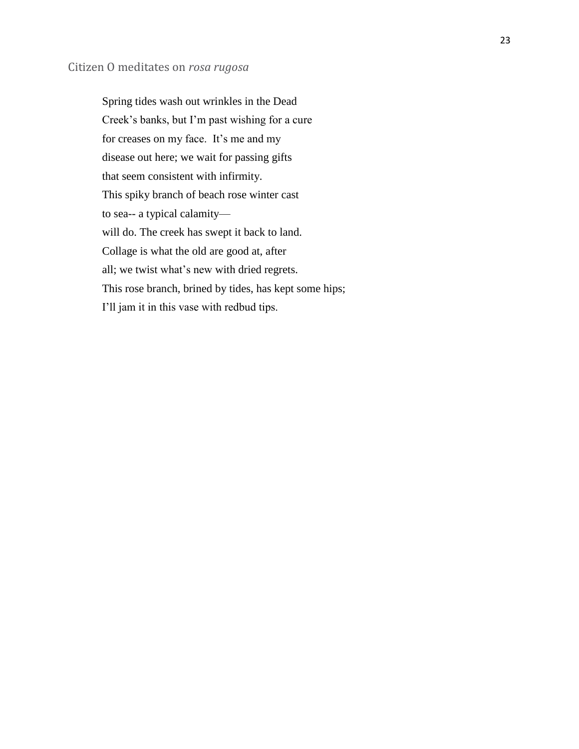<span id="page-22-0"></span>Spring tides wash out wrinkles in the Dead Creek's banks, but I'm past wishing for a cure for creases on my face. It's me and my disease out here; we wait for passing gifts that seem consistent with infirmity. This spiky branch of beach rose winter cast to sea-- a typical calamity will do. The creek has swept it back to land. Collage is what the old are good at, after all; we twist what's new with dried regrets. This rose branch, brined by tides, has kept some hips; I'll jam it in this vase with redbud tips.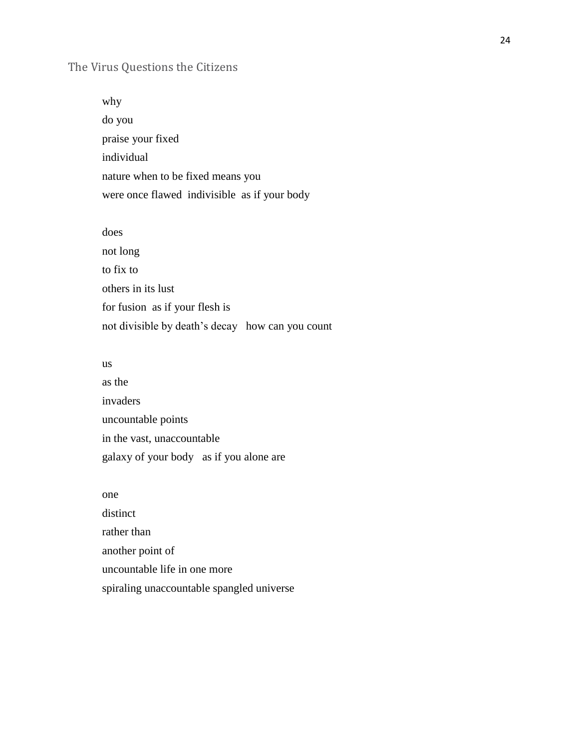#### <span id="page-23-0"></span>The Virus Questions the Citizens

why do you praise your fixed individual nature when to be fixed means you were once flawed indivisible as if your body

does not long to fix to others in its lust for fusion as if your flesh is not divisible by death's decay how can you count

us as the invaders uncountable points in the vast, unaccountable galaxy of your body as if you alone are

one distinct rather than another point of uncountable life in one more spiraling unaccountable spangled universe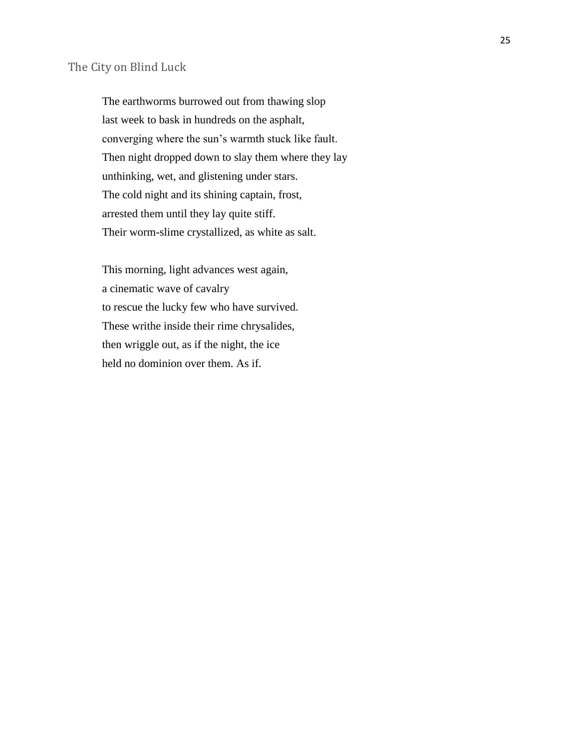<span id="page-24-0"></span>The earthworms burrowed out from thawing slop last week to bask in hundreds on the asphalt, converging where the sun's warmth stuck like fault. Then night dropped down to slay them where they lay unthinking, wet, and glistening under stars. The cold night and its shining captain, frost, arrested them until they lay quite stiff. Their worm-slime crystallized, as white as salt.

This morning, light advances west again, a cinematic wave of cavalry to rescue the lucky few who have survived. These writhe inside their rime chrysalides, then wriggle out, as if the night, the ice held no dominion over them. As if.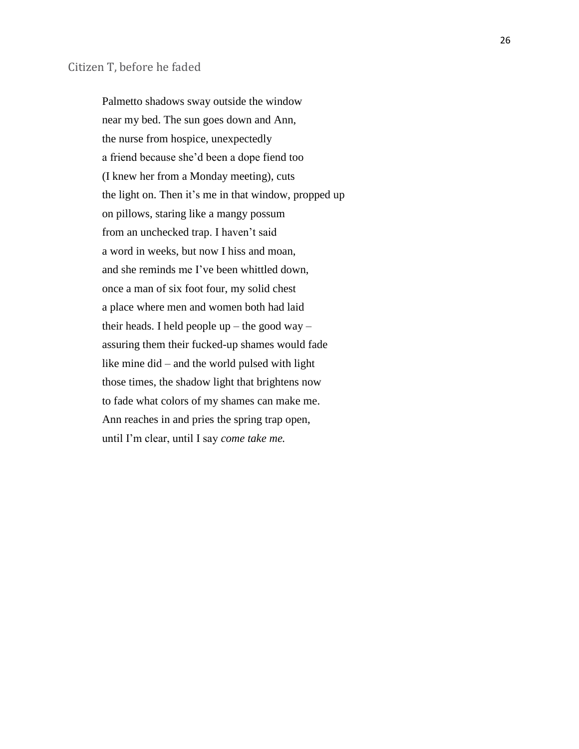<span id="page-25-0"></span>Palmetto shadows sway outside the window near my bed. The sun goes down and Ann, the nurse from hospice, unexpectedly a friend because she'd been a dope fiend too (I knew her from a Monday meeting), cuts the light on. Then it's me in that window, propped up on pillows, staring like a mangy possum from an unchecked trap. I haven't said a word in weeks, but now I hiss and moan, and she reminds me I've been whittled down, once a man of six foot four, my solid chest a place where men and women both had laid their heads. I held people up – the good way – assuring them their fucked-up shames would fade like mine did – and the world pulsed with light those times, the shadow light that brightens now to fade what colors of my shames can make me. Ann reaches in and pries the spring trap open, until I'm clear, until I say *come take me.*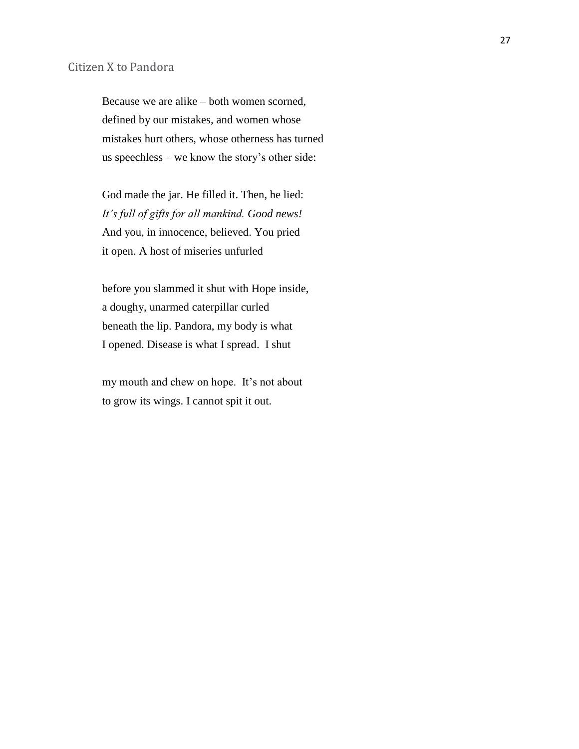<span id="page-26-0"></span>Because we are alike – both women scorned, defined by our mistakes, and women whose mistakes hurt others, whose otherness has turned us speechless – we know the story's other side:

God made the jar. He filled it. Then, he lied: *It's full of gifts for all mankind. Good news!* And you, in innocence, believed. You pried it open. A host of miseries unfurled

before you slammed it shut with Hope inside, a doughy, unarmed caterpillar curled beneath the lip. Pandora, my body is what I opened. Disease is what I spread. I shut

my mouth and chew on hope. It's not about to grow its wings. I cannot spit it out.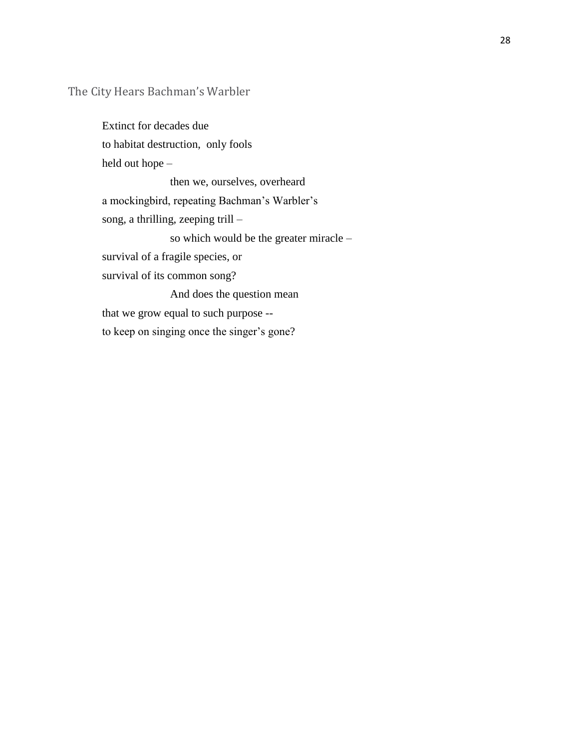<span id="page-27-0"></span>The City Hears Bachman's Warbler

Extinct for decades due to habitat destruction, only fools held out hope – then we, ourselves, overheard a mockingbird, repeating Bachman's Warbler's song, a thrilling, zeeping trill – so which would be the greater miracle – survival of a fragile species, or survival of its common song? And does the question mean that we grow equal to such purpose - to keep on singing once the singer's gone?